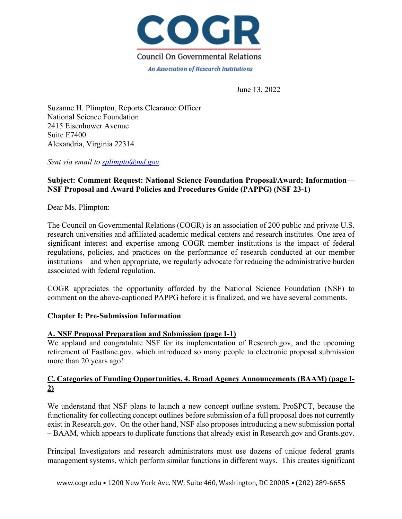

June 13, 2022

Suzanne H. Plimpton, Reports Clearance Officer National Science Foundation 2415 Eisenhower Avenue Suite E7400 Alexandria, Virginia 22314

*Sent via email to splimpto@nsf.gov.*

# **Subject: Comment Request: National Science Foundation Proposal/Award; Information— NSF Proposal and Award Policies and Procedures Guide (PAPPG) (NSF 23-1)**

Dear Ms. Plimpton:

The Council on Governmental Relations (COGR) is an association of 200 public and private U.S. research universities and affiliated academic medical centers and research institutes. One area of significant interest and expertise among COGR member institutions is the impact of federal regulations, policies, and practices on the performance of research conducted at our member institutions––and when appropriate, we regularly advocate for reducing the administrative burden associated with federal regulation.

COGR appreciates the opportunity afforded by the National Science Foundation (NSF) to comment on the above-captioned PAPPG before it is finalized, and we have several comments.

### **Chapter I: Pre-Submission Information**

### **A. NSF Proposal Preparation and Submission (page I-1)**

We applaud and congratulate NSF for its implementation of Research.gov, and the upcoming retirement of Fastlane.gov, which introduced so many people to electronic proposal submission more than 20 years ago!

# **C. Categories of Funding Opportunities, 4. Broad Agency Announcements (BAAM) (page I-2)**

We understand that NSF plans to launch a new concept outline system, ProSPCT, because the functionality for collecting concept outlines before submission of a full proposal does not currently exist in Research.gov. On the other hand, NSF also proposes introducing a new submission portal – BAAM, which appears to duplicate functions that already exist in Research.gov and Grants.gov.

Principal Investigators and research administrators must use dozens of unique federal grants management systems, which perform similar functions in different ways. This creates significant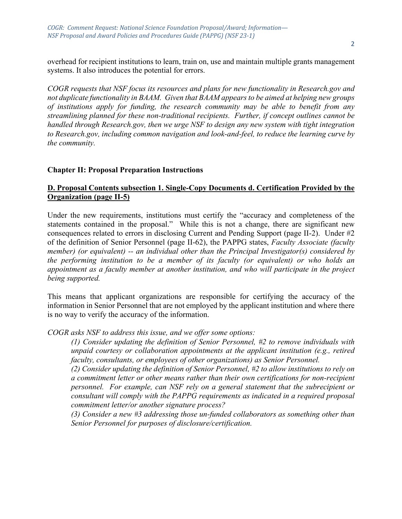*COGR: Comment Request: National Science Foundation Proposal/Award; Information— NSF Proposal and Award Policies and Procedures Guide (PAPPG)* (NSF 23-1)

overhead for recipient institutions to learn, train on, use and maintain multiple grants management systems. It also introduces the potential for errors.

*COGR requests that NSF focus its resources and plans for new functionality in Research.gov and not duplicate functionality in BAAM. Given that BAAM appears to be aimed at helping new groups of institutions apply for funding, the research community may be able to benefit from any streamlining planned for these non-traditional recipients. Further, if concept outlines cannot be handled through Research.gov, then we urge NSF to design any new system with tight integration to Research.gov, including common navigation and look-and-feel, to reduce the learning curve by the community.* 

### **Chapter II: Proposal Preparation Instructions**

### **D. Proposal Contents subsection 1. Single-Copy Documents d. Certification Provided by the Organization (page II-5)**

Under the new requirements, institutions must certify the "accuracy and completeness of the statements contained in the proposal." While this is not a change, there are significant new consequences related to errors in disclosing Current and Pending Support (page II-2). Under #2 of the definition of Senior Personnel (page II-62), the PAPPG states, *Faculty Associate (faculty member) (or equivalent) -- an individual other than the Principal Investigator(s) considered by the performing institution to be a member of its faculty (or equivalent) or who holds an appointment as a faculty member at another institution, and who will participate in the project being supported.*

This means that applicant organizations are responsible for certifying the accuracy of the information in Senior Personnel that are not employed by the applicant institution and where there is no way to verify the accuracy of the information.

*COGR asks NSF to address this issue, and we offer some options:*

*(1) Consider updating the definition of Senior Personnel, #2 to remove individuals with unpaid courtesy or collaboration appointments at the applicant institution (e.g., retired faculty, consultants, or employees of other organizations) as Senior Personnel.*

*(2) Consider updating the definition of Senior Personnel, #2 to allow institutions to rely on a commitment letter or other means rather than their own certifications for non-recipient personnel. For example, can NSF rely on a general statement that the subrecipient or consultant will comply with the PAPPG requirements as indicated in a required proposal commitment letter/or another signature process?*

*(3) Consider a new #3 addressing those un-funded collaborators as something other than Senior Personnel for purposes of disclosure/certification.*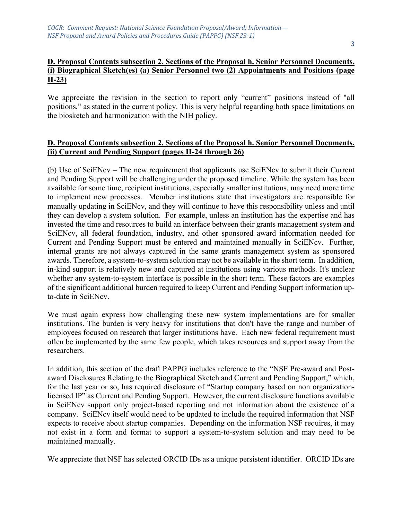# **D. Proposal Contents subsection 2. Sections of the Proposal h. Senior Personnel Documents, (i) Biographical Sketch(es) (a) Senior Personnel two (2) Appointments and Positions (page II-23)**

We appreciate the revision in the section to report only "current" positions instead of "all positions," as stated in the current policy. This is very helpful regarding both space limitations on the biosketch and harmonization with the NIH policy.

### **D. Proposal Contents subsection 2. Sections of the Proposal h. Senior Personnel Documents, (ii) Current and Pending Support (pages II-24 through 26)**

(b) Use of SciENcv – The new requirement that applicants use SciENcv to submit their Current and Pending Support will be challenging under the proposed timeline. While the system has been available for some time, recipient institutions, especially smaller institutions, may need more time to implement new processes. Member institutions state that investigators are responsible for manually updating in SciENcv, and they will continue to have this responsibility unless and until they can develop a system solution. For example, unless an institution has the expertise and has invested the time and resources to build an interface between their grants management system and SciENcv, all federal foundation, industry, and other sponsored award information needed for Current and Pending Support must be entered and maintained manually in SciENcv. Further, internal grants are not always captured in the same grants management system as sponsored awards. Therefore, a system-to-system solution may not be available in the short term. In addition, in-kind support is relatively new and captured at institutions using various methods. It's unclear whether any system-to-system interface is possible in the short term. These factors are examples of the significant additional burden required to keep Current and Pending Support information upto-date in SciENcv.

We must again express how challenging these new system implementations are for smaller institutions. The burden is very heavy for institutions that don't have the range and number of employees focused on research that larger institutions have. Each new federal requirement must often be implemented by the same few people, which takes resources and support away from the researchers.

In addition, this section of the draft PAPPG includes reference to the "NSF Pre-award and Postaward Disclosures Relating to the Biographical Sketch and Current and Pending Support," which, for the last year or so, has required disclosure of "Startup company based on non organizationlicensed IP" as Current and Pending Support. However, the current disclosure functions available in SciENcv support only project-based reporting and not information about the existence of a company. SciENcv itself would need to be updated to include the required information that NSF expects to receive about startup companies. Depending on the information NSF requires, it may not exist in a form and format to support a system-to-system solution and may need to be maintained manually.

We appreciate that NSF has selected ORCID IDs as a unique persistent identifier. ORCID IDs are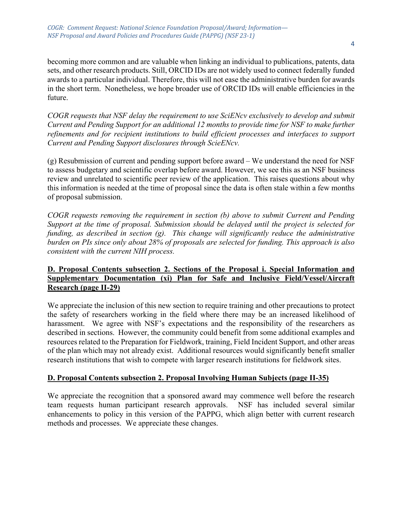*COGR: Comment Request: National Science Foundation Proposal/Award; Information— NSF Proposal and Award Policies and Procedures Guide (PAPPG)* (NSF 23-1)

becoming more common and are valuable when linking an individual to publications, patents, data sets, and other research products. Still, ORCID IDs are not widely used to connect federally funded awards to a particular individual. Therefore, this will not ease the administrative burden for awards in the short term. Nonetheless, we hope broader use of ORCID IDs will enable efficiencies in the future.

*COGR requests that NSF delay the requirement to use SciENcv exclusively to develop and submit Current and Pending Support for an additional 12 months to provide time for NSF to make further refinements and for recipient institutions to build efficient processes and interfaces to support Current and Pending Support disclosures through ScieENcv.* 

(g) Resubmission of current and pending support before award – We understand the need for NSF to assess budgetary and scientific overlap before award. However, we see this as an NSF business review and unrelated to scientific peer review of the application. This raises questions about why this information is needed at the time of proposal since the data is often stale within a few months of proposal submission.

*COGR requests removing the requirement in section (b) above to submit Current and Pending Support at the time of proposal. Submission should be delayed until the project is selected for funding, as described in section (g). This change will significantly reduce the administrative burden on PIs since only about 28% of proposals are selected for funding. This approach is also consistent with the current NIH process.*

# **D. Proposal Contents subsection 2. Sections of the Proposal i. Special Information and Supplementary Documentation (xi) Plan for Safe and Inclusive Field/Vessel/Aircraft Research (page II-29)**

We appreciate the inclusion of this new section to require training and other precautions to protect the safety of researchers working in the field where there may be an increased likelihood of harassment. We agree with NSF's expectations and the responsibility of the researchers as described in sections. However, the community could benefit from some additional examples and resources related to the Preparation for Fieldwork, training, Field Incident Support, and other areas of the plan which may not already exist. Additional resources would significantly benefit smaller research institutions that wish to compete with larger research institutions for fieldwork sites.

# **D. Proposal Contents subsection 2. Proposal Involving Human Subjects (page II-35)**

We appreciate the recognition that a sponsored award may commence well before the research team requests human participant research approvals. NSF has included several similar enhancements to policy in this version of the PAPPG, which align better with current research methods and processes. We appreciate these changes.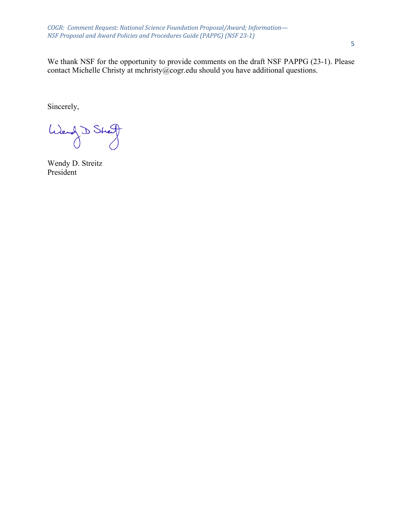*COGR: Comment Request: National Science Foundation Proposal/Award; Information— NSF Proposal and Award Policies and Procedures Guide (PAPPG)* (*NSF 23-1)* 

We thank NSF for the opportunity to provide comments on the draft NSF PAPPG (23-1). Please contact Michelle Christy at mchristy@cogr.edu should you have additional questions.

Sincerely,

Wend D Street

Wendy D. Streitz President